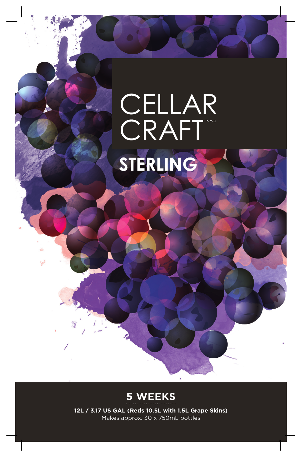## CELLAR<br>CRAFT STERLING



**12L / 3.17 US GAL (Reds 10.5L with 1.5L Grape Skins)** Makes approx. 30 x 750mL bottles